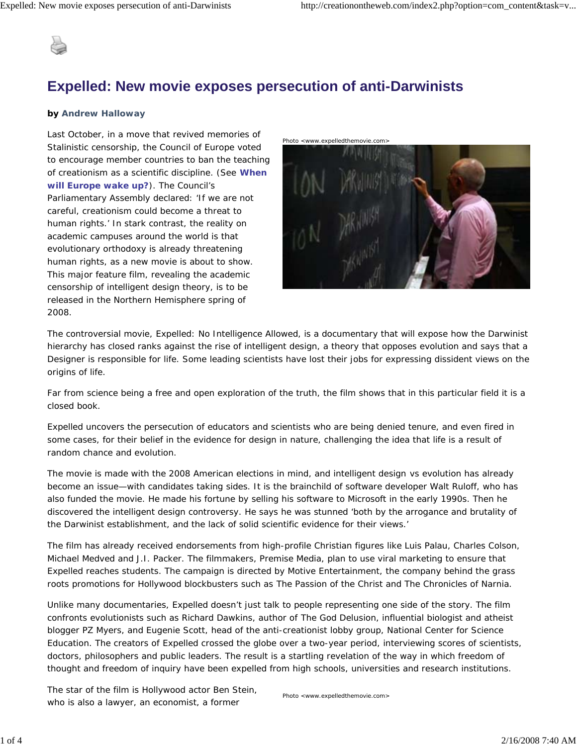

## **Expelled: New movie exposes persecution of anti-Darwinists**

## *by Andrew Halloway*

Last October, in a move that revived memories of Stalinistic censorship, the Council of Europe voted to encourage member countries to ban the teaching of creationism as a scientific discipline. (See **When will Europe wake up?**). The Council's Parliamentary Assembly declared: 'If we are not careful, creationism could become a threat to human rights.' In stark contrast, the reality on academic campuses around the world is that evolutionary orthodoxy is already threatening human rights, as a new movie is about to show. This major feature film, revealing the academic censorship of intelligent design theory, is to be released in the Northern Hemisphere spring of 2008.



The controversial movie, *Expelled: No Intelligence Allowed*, is a documentary that will expose how the Darwinist hierarchy has closed ranks against the rise of intelligent design, a theory that opposes evolution and says that a Designer is responsible for life. Some leading scientists have lost their jobs for expressing dissident views on the origins of life.

Far from science being a free and open exploration of the truth, the film shows that in this particular field it is a closed book.

*Expelled* uncovers the persecution of educators and scientists who are being denied tenure, and even fired in some cases, for their belief in the evidence for design in nature, challenging the idea that life is a result of random chance and evolution.

The movie is made with the 2008 American elections in mind, and intelligent design *vs* evolution has already become an issue—with candidates taking sides. It is the brainchild of software developer Walt Ruloff, who has also funded the movie. He made his fortune by selling his software to Microsoft in the early 1990s. Then he discovered the intelligent design controversy. He says he was stunned 'both by the arrogance and brutality of the Darwinist establishment, and the lack of solid scientific evidence for their views.'

The film has already received endorsements from high-profile Christian figures like Luis Palau, Charles Colson, Michael Medved and J.I. Packer. The filmmakers, Premise Media, plan to use viral marketing to ensure that *Expelled* reaches students. The campaign is directed by Motive Entertainment, the company behind the grass roots promotions for Hollywood blockbusters such as *The Passion of the Christ* and *The Chronicles of Narnia*.

Unlike many documentaries, *Expelled* doesn't just talk to people representing one side of the story. The film confronts evolutionists such as Richard Dawkins, author of *The God Delusion*, influential biologist and atheist blogger PZ Myers, and Eugenie Scott, head of the anti-creationist lobby group, National Center for Science Education. The creators of *Expelled* crossed the globe over a two-year period, interviewing scores of scientists, doctors, philosophers and public leaders. The result is a startling revelation of the way in which freedom of thought and freedom of inquiry have been expelled from high schools, universities and research institutions.

The star of the film is Hollywood actor Ben Stein, who is also a lawyer, an economist, a former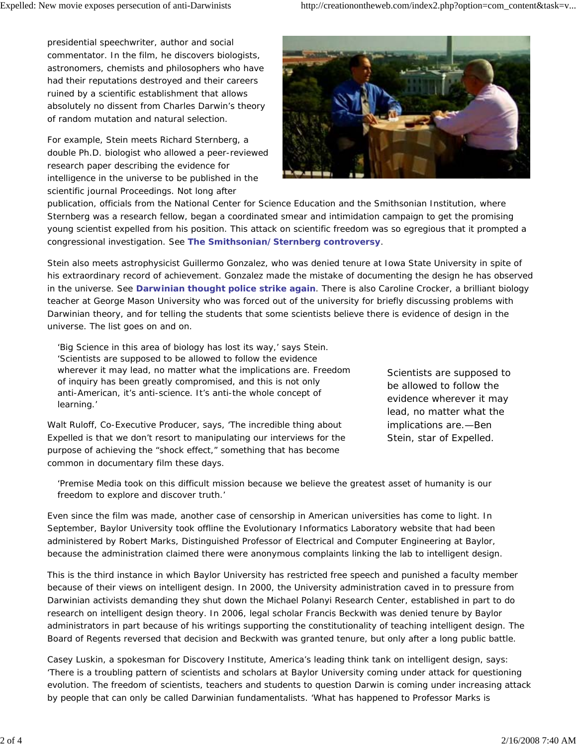presidential speechwriter, author and social commentator. In the film, he discovers biologists, astronomers, chemists and philosophers who have had their reputations destroyed and their careers ruined by a scientific establishment that allows absolutely no dissent from Charles Darwin's theory of random mutation and natural selection.

For example, Stein meets Richard Sternberg, a double Ph.D. biologist who allowed a peer-reviewed research paper describing the evidence for intelligence in the universe to be published in the scientific journal *Proceedings*. Not long after



publication, officials from the National Center for Science Education and the Smithsonian Institution, where Sternberg was a research fellow, began a coordinated smear and intimidation campaign to get the promising young scientist expelled from his position. This attack on scientific freedom was so egregious that it prompted a congressional investigation. See **The Smithsonian/Sternberg controversy**.

Stein also meets astrophysicist Guillermo Gonzalez, who was denied tenure at Iowa State University in spite of his extraordinary record of achievement. Gonzalez made the mistake of documenting the design he has observed in the universe. See **Darwinian thought police strike again**. There is also Caroline Crocker, a brilliant biology teacher at George Mason University who was forced out of the university for briefly discussing problems with Darwinian theory, and for telling the students that some scientists believe there is evidence of design in the universe. The list goes on and on.

'Big Science in this area of biology has lost its way,' says Stein. 'Scientists are supposed to be allowed to follow the evidence wherever it may lead, no matter what the implications are. Freedom of inquiry has been greatly compromised, and this is not only anti-American, it's anti-science. It's anti-the whole concept of learning.'

Walt Ruloff, Co-Executive Producer, says, 'The incredible thing about Expelled is that we don't resort to manipulating our interviews for the purpose of achieving the "shock effect," something that has become common in documentary film these days.

Scientists are supposed to be allowed to follow the evidence wherever it may lead, no matter what the implications are.—Ben Stein, star of Expelled.

'Premise Media took on this difficult mission because we believe the greatest asset of humanity is our freedom to explore and discover truth.'

Even since the film was made, another case of censorship in American universities has come to light. In September, Baylor University took offline the Evolutionary Informatics Laboratory website that had been administered by Robert Marks, Distinguished Professor of Electrical and Computer Engineering at Baylor, because the administration claimed there were anonymous complaints linking the lab to intelligent design.

This is the third instance in which Baylor University has restricted free speech and punished a faculty member because of their views on intelligent design. In 2000, the University administration caved in to pressure from Darwinian activists demanding they shut down the Michael Polanyi Research Center, established in part to do research on intelligent design theory. In 2006, legal scholar Francis Beckwith was denied tenure by Baylor administrators in part because of his writings supporting the constitutionality of teaching intelligent design. The Board of Regents reversed that decision and Beckwith was granted tenure, but only after a long public battle.

Casey Luskin, a spokesman for Discovery Institute, America's leading think tank on intelligent design, says: 'There is a troubling pattern of scientists and scholars at Baylor University coming under attack for questioning evolution. The freedom of scientists, teachers and students to question Darwin is coming under increasing attack by people that can only be called Darwinian fundamentalists. 'What has happened to Professor Marks is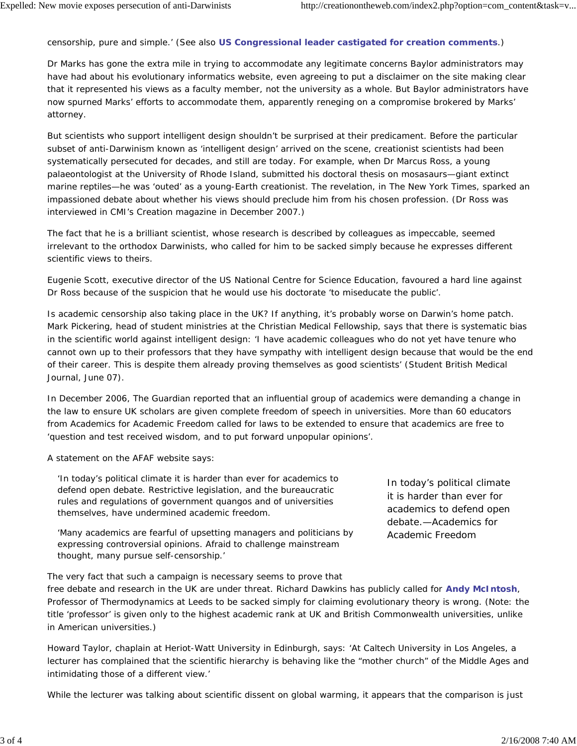censorship, pure and simple.' (See also **US Congressional leader castigated for creation comments**.)

Dr Marks has gone the extra mile in trying to accommodate any legitimate concerns Baylor administrators may have had about his evolutionary informatics website, even agreeing to put a disclaimer on the site making clear that it represented his views as a faculty member, not the university as a whole. But Baylor administrators have now spurned Marks' efforts to accommodate them, apparently reneging on a compromise brokered by Marks' attorney.

But scientists who support intelligent design shouldn't be surprised at their predicament. Before the particular subset of anti-Darwinism known as 'intelligent design' arrived on the scene, creationist scientists had been systematically persecuted for decades, and still are today. For example, when Dr Marcus Ross, a young palaeontologist at the University of Rhode Island, submitted his doctoral thesis on mosasaurs—giant extinct marine reptiles—he was 'outed' as a young-Earth creationist. The revelation, in *The New York Times*, sparked an impassioned debate about whether his views should preclude him from his chosen profession. (Dr Ross was interviewed in CMI's *Creation* magazine in December 2007.)

The fact that he is a brilliant scientist, whose research is described by colleagues as impeccable, seemed irrelevant to the orthodox Darwinists, who called for him to be sacked simply because he expresses different scientific views to theirs.

Eugenie Scott, executive director of the US National Centre for Science Education, favoured a hard line against Dr Ross because of the suspicion that he would use his doctorate 'to miseducate the public'.

Is academic censorship also taking place in the UK? If anything, it's probably worse on Darwin's home patch. Mark Pickering, head of student ministries at the Christian Medical Fellowship, says that there is systematic bias in the scientific world against intelligent design: 'I have academic colleagues who do not yet have tenure who cannot own up to their professors that they have sympathy with intelligent design because that would be the end of their career. This is despite them already proving themselves as good scientists' (*Student British Medical Journal*, June 07).

In December 2006, *The Guardian* reported that an influential group of academics were demanding a change in the law to ensure UK scholars are given complete freedom of speech in universities. More than 60 educators from Academics for Academic Freedom called for laws to be extended to ensure that academics are free to 'question and test received wisdom, and to put forward unpopular opinions'.

A statement on the AFAF website says:

'In today's political climate it is harder than ever for academics to defend open debate. Restrictive legislation, and the bureaucratic rules and regulations of government quangos and of universities themselves, have undermined academic freedom.

'Many academics are fearful of upsetting managers and politicians by expressing controversial opinions. Afraid to challenge mainstream thought, many pursue self-censorship.'

The very fact that such a campaign is necessary seems to prove that

In today's political climate it is harder than ever for academics to defend open debate.—Academics for Academic Freedom

free debate and research in the UK are under threat. Richard Dawkins has publicly called for **Andy McIntosh**, Professor of Thermodynamics at Leeds to be sacked simply for claiming evolutionary theory is wrong. (Note: the title 'professor' is given only to the highest academic rank at UK and British Commonwealth universities, unlike in American universities.)

Howard Taylor, chaplain at Heriot-Watt University in Edinburgh, says: 'At Caltech University in Los Angeles, a lecturer has complained that the scientific hierarchy is behaving like the "mother church" of the Middle Ages and intimidating those of a different view.'

While the lecturer was talking about scientific dissent on global warming, it appears that the comparison is just